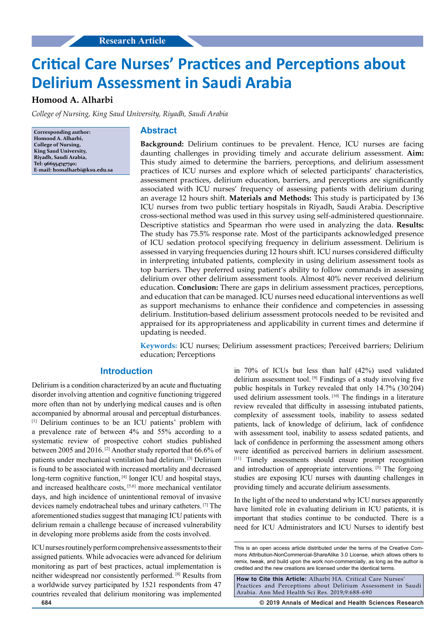# **Critical Care Nurses' Practices and Perceptions about Delirium Assessment in Saudi Arabia**

# **Homood A. Alharbi**

*College of Nursing, King Saud University, Riyadh, Saudi Arabia*

**Corresponding author: Homood A. Alharbi, College of Nursing, King Saud University, Riyadh, Saudi Arabia, Tel: 966554747740; E-mail: homalharbi@ksu.edu.sa**

## **Abstract**

**Background:** Delirium continues to be prevalent. Hence, ICU nurses are facing daunting challenges in providing timely and accurate delirium assessment. **Aim:** This study aimed to determine the barriers, perceptions, and delirium assessment practices of ICU nurses and explore which of selected participants' characteristics, assessment practices, delirium education, barriers, and perceptions are significantly associated with ICU nurses' frequency of assessing patients with delirium during an average 12 hours shift. **Materials and Methods:** This study is participated by 136 ICU nurses from two public tertiary hospitals in Riyadh, Saudi Arabia. Descriptive cross-sectional method was used in this survey using self-administered questionnaire. Descriptive statistics and Spearman rho were used in analyzing the data. **Results:** The study has 75.5% response rate. Most of the participants acknowledged presence of ICU sedation protocol specifying frequency in delirium assessment. Delirium is assessed in varying frequencies during 12 hours shift. ICU nurses considered difficulty in interpreting intubated patients, complexity in using delirium assessment tools as top barriers. They preferred using patient's ability to follow commands in assessing delirium over other delirium assessment tools. Almost 40% never received delirium education. **Conclusion:** There are gaps in delirium assessment practices, perceptions, and education that can be managed. ICU nurses need educational interventions as well as support mechanisms to enhance their confidence and competencies in assessing delirium. Institution-based delirium assessment protocols needed to be revisited and appraised for its appropriateness and applicability in current times and determine if updating is needed.

**Keywords:** ICU nurses; Delirium assessment practices; Perceived barriers; Delirium education; Perceptions

# **Introduction**

Delirium is a condition characterized by an acute and fluctuating disorder involving attention and cognitive functioning triggered more often than not by underlying medical causes and is often accompanied by abnormal arousal and perceptual disturbances. [1] Delirium continues to be an ICU patients' problem with a prevalence rate of between 4% and 55% according to a systematic review of prospective cohort studies published between 2005 and 2016. [2] Another study reported that 66.6% of patients under mechanical ventilation had delirium. [3] Delirium is found to be associated with increased mortality and decreased long-term cognitive function, [4] longer ICU and hospital stays, and increased healthcare costs, [5,6] more mechanical ventilator days, and high incidence of unintentional removal of invasive devices namely endotracheal tubes and urinary catheters. [7] The aforementioned studies suggest that managing ICU patients with delirium remain a challenge because of increased vulnerability in developing more problems aside from the costs involved.

ICU nurses routinely perform comprehensive assessments to their assigned patients. While advocacies were advanced for delirium monitoring as part of best practices, actual implementation is neither widespread nor consistently performed. [8] Results from a worldwide survey participated by 1521 respondents from 47 countries revealed that delirium monitoring was implemented

in 70% of ICUs but less than half (42%) used validated delirium assessment tool. [9] Findings of a study involving five public hospitals in Turkey revealed that only 14.7% (30/204) used delirium assessment tools. [10] The findings in a literature review revealed that difficulty in assessing intubated patients, complexity of assessment tools, inability to assess sedated patients, lack of knowledge of delirium, lack of confidence with assessment tool, inability to assess sedated patients, and lack of confidence in performing the assessment among others were identified as perceived barriers in delirium assessment. [11] Timely assessments should ensure prompt recognition and introduction of appropriate interventions. [5] The forgoing studies are exposing ICU nurses with daunting challenges in providing timely and accurate delirium assessments.

In the light of the need to understand why ICU nurses apparently have limited role in evaluating delirium in ICU patients, it is important that studies continue to be conducted. There is a need for ICU Administrators and ICU Nurses to identify best

**How to Cite this Article:** Alharbi HA. Critical Care Nurses' Practices and Perceptions about Delirium Assessment in Saudi Arabia. Ann Med Health Sci Res. 2019;9:688-690

**684 © 2019 Annals of Medical and Health Sciences Research** 

This is an open access article distributed under the terms of the Creative Commons Attribution-NonCommercial-ShareAlike 3.0 License, which allows others to remix, tweak, and build upon the work non‑commercially, as long as the author is credited and the new creations are licensed under the identical terms.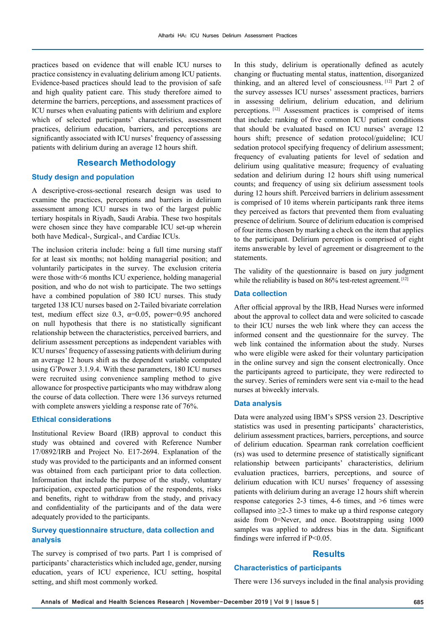practices based on evidence that will enable ICU nurses to practice consistency in evaluating delirium among ICU patients. Evidence-based practices should lead to the provision of safe and high quality patient care. This study therefore aimed to determine the barriers, perceptions, and assessment practices of ICU nurses when evaluating patients with delirium and explore which of selected participants' characteristics, assessment practices, delirium education, barriers, and perceptions are significantly associated with ICU nurses' frequency of assessing patients with delirium during an average 12 hours shift.

# **Research Methodology**

## **Study design and population**

A descriptive-cross-sectional research design was used to examine the practices, perceptions and barriers in delirium assessment among ICU nurses in two of the largest public tertiary hospitals in Riyadh, Saudi Arabia. These two hospitals were chosen since they have comparable ICU set-up wherein both have Medical-, Surgical-, and Cardiac ICUs.

The inclusion criteria include: being a full time nursing staff for at least six months; not holding managerial position; and voluntarily participates in the survey. The exclusion criteria were those with<6 months ICU experience, holding managerial position, and who do not wish to participate. The two settings have a combined population of 380 ICU nurses. This study targeted 138 ICU nurses based on 2-Tailed bivariate correlation test, medium effect size 0.3,  $\alpha$ =0.05, power=0.95 anchored on null hypothesis that there is no statistically significant relationship between the characteristics, perceived barriers, and delirium assessment perceptions as independent variables with ICU nurses' frequency of assessing patients with delirium during an average 12 hours shift as the dependent variable computed using G\* Power 3.1.9.4. With these parameters, 180 ICU nurses were recruited using convenience sampling method to give allowance for prospective participants who may withdraw along the course of data collection. There were 136 surveys returned with complete answers yielding a response rate of 76%.

# **Ethical considerations**

Institutional Review Board (IRB) approval to conduct this study was obtained and covered with Reference Number 17/0892/IRB and Project No. E17-2694. Explanation of the study was provided to the participants and an informed consent was obtained from each participant prior to data collection. Information that include the purpose of the study, voluntary participation, expected participation of the respondents, risks and benefits, right to withdraw from the study, and privacy and confidentiality of the participants and of the data were adequately provided to the participants.

## **Survey questionnaire structure, data collection and analysis**

The survey is comprised of two parts. Part 1 is comprised of participants' characteristics which included age, gender, nursing education, years of ICU experience, ICU setting, hospital setting, and shift most commonly worked.

In this study, delirium is operationally defined as acutely changing or fluctuating mental status, inattention, disorganized thinking, and an altered level of consciousness. [12] Part 2 of the survey assesses ICU nurses' assessment practices, barriers in assessing delirium, delirium education, and delirium perceptions. [12] Assessment practices is comprised of items that include: ranking of five common ICU patient conditions that should be evaluated based on ICU nurses' average 12 hours shift; presence of sedation protocol/guideline; ICU sedation protocol specifying frequency of delirium assessment; frequency of evaluating patients for level of sedation and delirium using qualitative measure; frequency of evaluating sedation and delirium during 12 hours shift using numerical counts; and frequency of using six delirium assessment tools during 12 hours shift. Perceived barriers in delirium assessment is comprised of 10 items wherein participants rank three items they perceived as factors that prevented them from evaluating presence of delirium. Source of delirium education is comprised of four items chosen by marking a check on the item that applies to the participant. Delirium perception is comprised of eight items answerable by level of agreement or disagreement to the statements.

The validity of the questionnaire is based on jury judgment while the reliability is based on 86% test-retest agreement. [12]

## **Data collection**

After official approval by the IRB, Head Nurses were informed about the approval to collect data and were solicited to cascade to their ICU nurses the web link where they can access the informed consent and the questionnaire for the survey. The web link contained the information about the study. Nurses who were eligible were asked for their voluntary participation in the online survey and sign the consent electronically. Once the participants agreed to participate, they were redirected to the survey. Series of reminders were sent via e-mail to the head nurses at biweekly intervals.

#### **Data analysis**

Data were analyzed using IBM's SPSS version 23. Descriptive statistics was used in presenting participants' characteristics, delirium assessment practices, barriers, perceptions, and source of delirium education. Spearman rank correlation coefficient (rs) was used to determine presence of statistically significant relationship between participants' characteristics, delirium evaluation practices, barriers, perceptions, and source of delirium education with ICU nurses' frequency of assessing patients with delirium during an average 12 hours shift wherein response categories 2-3 times, 4-6 times, and >6 times were collapsed into  $\geq$ 2-3 times to make up a third response category aside from 0=Never, and once. Bootstrapping using 1000 samples was applied to address bias in the data. Significant findings were inferred if P<0.05.

## **Results**

## **Characteristics of participants**

There were 136 surveys included in the final analysis providing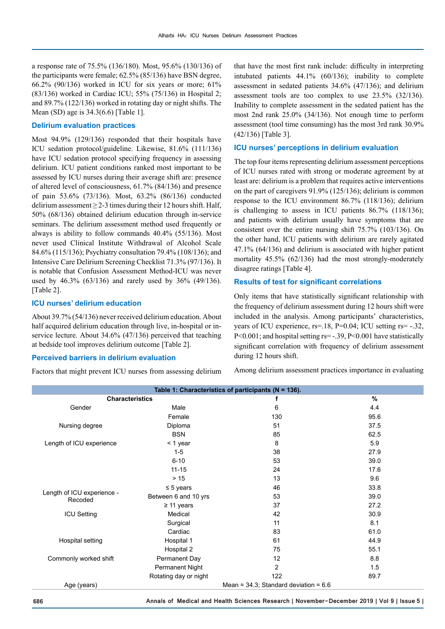a response rate of 75.5% (136/180). Most, 95.6% (130/136) of the participants were female; 62.5% (85/136) have BSN degree, 66.2% (90/136) worked in ICU for six years or more; 61% (83/136) worked in Cardiac ICU; 55% (75/136) in Hospital 2; and 89.7% (122/136) worked in rotating day or night shifts. The Mean (SD) age is 34.3(6.6) [Table 1].

## **Delirium evaluation practices**

Most 94.9% (129/136) responded that their hospitals have ICU sedation protocol/guideline. Likewise, 81.6% (111/136) have ICU sedation protocol specifying frequency in assessing delirium. ICU patient conditions ranked most important to be assessed by ICU nurses during their average shift are: presence of altered level of consciousness, 61.7% (84/136) and presence of pain 53.6% (73/136). Most, 63.2% (86/136) conducted delirium assessment  $\geq$  2-3 times during their 12 hours shift. Half, 50% (68/136) obtained delirium education through in-service seminars. The delirium assessment method used frequently or always is ability to follow commands 40.4% (55/136). Most never used Clinical Institute Withdrawal of Alcohol Scale 84.6% (115/136); Psychiatry consultation 79.4% (108/136); and Intensive Care Delirium Screening Checklist 71.3% (97/136). It is notable that Confusion Assessment Method-ICU was never used by 46.3% (63/136) and rarely used by 36% (49/136). [Table 2].

#### **ICU nurses' delirium education**

About 39.7% (54/136) never received delirium education. About half acquired delirium education through live, in-hospital or inservice lecture. About 34.6% (47/136) perceived that teaching at bedside tool improves delirium outcome [Table 2].

### **Perceived barriers in delirium evaluation**

Factors that might prevent ICU nurses from assessing delirium

that have the most first rank include: difficulty in interpreting intubated patients 44.1% (60/136); inability to complete assessment in sedated patients 34.6% (47/136); and delirium assessment tools are too complex to use 23.5% (32/136). Inability to complete assessment in the sedated patient has the most 2nd rank 25.0% (34/136). Not enough time to perform assessment (tool time consuming) has the most 3rd rank 30.9% (42/136) [Table 3].

## **ICU nurses' perceptions in delirium evaluation**

The top four items representing delirium assessment perceptions of ICU nurses rated with strong or moderate agreement by at least are: delirium is a problem that requires active interventions on the part of caregivers 91.9% (125/136); delirium is common response to the ICU environment 86.7% (118/136); delirium is challenging to assess in ICU patients 86.7% (118/136); and patients with delirium usually have symptoms that are consistent over the entire nursing shift 75.7% (103/136). On the other hand, ICU patients with delirium are rarely agitated 47.1% (64/136) and delirium is associated with higher patient mortality 45.5% (62/136) had the most strongly-moderately disagree ratings [Table 4].

## **Results of test for significant correlations**

Only items that have statistically significant relationship with the frequency of delirium assessment during 12 hours shift were included in the analysis. Among participants' characteristics, years of ICU experience, rs=.18, P=0.04; ICU setting rs= -.32,  $P \le 0.001$ ; and hospital setting rs= -.39, P $\le 0.001$  have statistically significant correlation with frequency of delirium assessment during 12 hours shift.

Among delirium assessment practices importance in evaluating

| Table 1: Characteristics of participants (N = 136). |                        |                                            |               |  |  |
|-----------------------------------------------------|------------------------|--------------------------------------------|---------------|--|--|
| <b>Characteristics</b>                              |                        | f                                          | $\frac{9}{6}$ |  |  |
| Gender                                              | Male                   | 6                                          | 4.4           |  |  |
|                                                     | Female                 | 130                                        | 95.6          |  |  |
| Nursing degree                                      | Diploma                | 51                                         | 37.5          |  |  |
|                                                     | <b>BSN</b>             | 85                                         | 62.5          |  |  |
| Length of ICU experience                            | < 1 year               | 8                                          | 5.9           |  |  |
|                                                     | $1 - 5$                | 38                                         | 27.9          |  |  |
|                                                     | $6 - 10$               | 53                                         | 39.0          |  |  |
|                                                     | $11 - 15$              | 24                                         | 17.6          |  |  |
|                                                     | >15                    | 13                                         | 9.6           |  |  |
|                                                     | $\leq$ 5 years         | 46                                         | 33.8          |  |  |
| Length of ICU experience -<br>Recoded               | Between 6 and 10 yrs   | 53                                         | 39.0          |  |  |
|                                                     | $\geq$ 11 years        | 37                                         | 27.2          |  |  |
| <b>ICU Setting</b>                                  | Medical                | 42                                         | 30.9          |  |  |
|                                                     | Surgical               | 11                                         | 8.1           |  |  |
|                                                     | Cardiac                | 83                                         | 61.0          |  |  |
| Hospital setting                                    | Hospital 1             | 61                                         | 44.9          |  |  |
|                                                     | Hospital 2             | 75                                         | 55.1          |  |  |
| Commonly worked shift                               | Permanent Day          | 12                                         | 8.8           |  |  |
|                                                     | <b>Permanent Night</b> | 2                                          | 1.5           |  |  |
|                                                     | Rotating day or night  | 122                                        | 89.7          |  |  |
| Age (years)                                         |                        | Mean = $34.3$ ; Standard deviation = $6.6$ |               |  |  |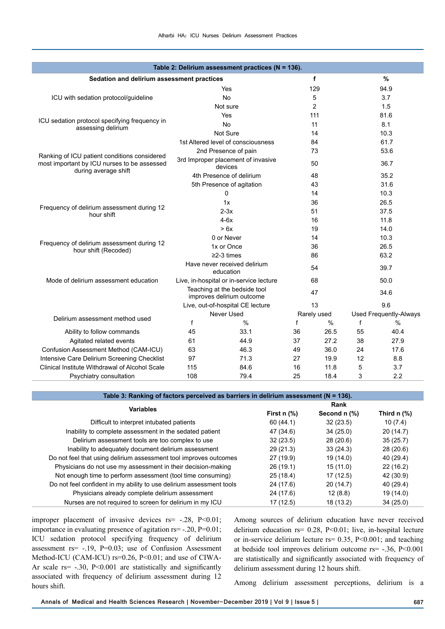|                                                                                                                     |                                                           | Table 2: Delirium assessment practices ( $N = 136$ ). |             |                |                               |               |  |
|---------------------------------------------------------------------------------------------------------------------|-----------------------------------------------------------|-------------------------------------------------------|-------------|----------------|-------------------------------|---------------|--|
| Sedation and delirium assessment practices                                                                          |                                                           |                                                       |             | f              |                               | %             |  |
|                                                                                                                     | Yes                                                       |                                                       | 129         |                |                               | 94.9          |  |
| ICU with sedation protocol/guideline                                                                                | <b>No</b>                                                 |                                                       |             | 5              |                               | 3.7           |  |
|                                                                                                                     | Not sure                                                  |                                                       |             | $\overline{2}$ |                               | 1.5           |  |
|                                                                                                                     | Yes                                                       |                                                       |             | 111            | 81.6                          |               |  |
| ICU sedation protocol specifying frequency in<br>assessing delirium                                                 | <b>No</b>                                                 |                                                       |             | 11             |                               | 8.1           |  |
|                                                                                                                     | Not Sure                                                  |                                                       |             | 14             |                               | 10.3          |  |
|                                                                                                                     | 1st Altered level of consciousness                        |                                                       |             | 84             | 61.7                          |               |  |
|                                                                                                                     | 2nd Presence of pain                                      |                                                       | 73          |                | 53.6                          |               |  |
| Ranking of ICU patient conditions considered<br>most important by ICU nurses to be assessed<br>during average shift | 3rd Improper placement of invasive<br>devices             |                                                       | 50          |                | 36.7                          |               |  |
|                                                                                                                     | 4th Presence of delirium                                  |                                                       | 48          |                | 35.2                          |               |  |
|                                                                                                                     | 5th Presence of agitation                                 |                                                       | 43          |                | 31.6                          |               |  |
|                                                                                                                     | 0                                                         |                                                       | 14          |                | 10.3                          |               |  |
|                                                                                                                     | 1x                                                        |                                                       | 36          |                | 26.5                          |               |  |
| Frequency of delirium assessment during 12<br>hour shift                                                            | $2-3x$                                                    |                                                       | 51          |                | 37.5                          |               |  |
|                                                                                                                     | $4-6x$                                                    |                                                       | 16          |                | 11.8                          |               |  |
|                                                                                                                     | > 6x                                                      |                                                       | 19          |                | 14.0                          |               |  |
|                                                                                                                     | 0 or Never                                                |                                                       | 14          |                | 10.3                          |               |  |
| Frequency of delirium assessment during 12<br>hour shift (Recoded)                                                  | 1x or Once                                                |                                                       | 36          |                | 26.5                          |               |  |
|                                                                                                                     | $\geq$ 2-3 times                                          |                                                       | 86          |                | 63.2                          |               |  |
|                                                                                                                     | Have never received delirium<br>education                 |                                                       | 54          |                | 39.7                          |               |  |
| Mode of delirium assessment education                                                                               | Live, in-hospital or in-service lecture                   |                                                       | 68          |                | 50.0                          |               |  |
|                                                                                                                     | Teaching at the bedside tool<br>improves delirium outcome |                                                       | 47          |                | 34.6                          |               |  |
|                                                                                                                     | Live, out-of-hospital CE lecture                          |                                                       | 13          |                | 9.6                           |               |  |
| Delirium assessment method used                                                                                     | Never Used                                                |                                                       | Rarely used |                | <b>Used Frequently-Always</b> |               |  |
|                                                                                                                     | f                                                         | $\frac{0}{0}$                                         | f           | $\%$           | f                             | $\frac{0}{0}$ |  |
| Ability to follow commands                                                                                          | 45                                                        | 33.1                                                  | 36          | 26.5           | 55                            | 40.4          |  |
| Agitated related events                                                                                             | 61                                                        | 44.9                                                  | 37          | 27.2           | 38                            | 27.9          |  |
| Confusion Assessment Method (CAM-ICU)                                                                               | 63                                                        | 46.3                                                  | 49          | 36.0           | 24                            | 17.6          |  |
| Intensive Care Delirium Screening Checklist                                                                         | 97                                                        | 71.3                                                  | 27          | 19.9           | 12                            | 8.8           |  |
| Clinical Institute Withdrawal of Alcohol Scale                                                                      | 115                                                       | 84.6                                                  | 16          | 11.8           | 5                             | 3.7           |  |
| Psychiatry consultation                                                                                             | 108                                                       | 79.4                                                  | 25          | 18.4           | 3                             | 2.2           |  |

| Table 3: Ranking of factors perceived as barriers in delirium assessment ( $N = 136$ ). |                  |              |                                      |  |
|-----------------------------------------------------------------------------------------|------------------|--------------|--------------------------------------|--|
| <b>Variables</b>                                                                        | Rank             |              |                                      |  |
|                                                                                         | First $n$ $\%$ ) | Second n (%) | Third $n$ $\left(\frac{9}{6}\right)$ |  |
| Difficult to interpret intubated patients                                               | 60(44.1)         | 32(23.5)     | 10(7.4)                              |  |
| Inability to complete assessment in the sedated patient                                 | 47 (34.6)        | 34(25.0)     | 20(14.7)                             |  |
| Delirium assessment tools are too complex to use                                        | 32(23.5)         | 28(20.6)     | 35(25.7)                             |  |
| Inability to adequately document delirium assessment                                    | 29(21.3)         | 33(24.3)     | 28 (20.6)                            |  |
| Do not feel that using delirium assessment tool improves outcomes                       | 27 (19.9)        | 19 (14.0)    | 40 (29.4)                            |  |
| Physicians do not use my assessment in their decision-making                            | 26(19.1)         | 15(11.0)     | 22(16.2)                             |  |
| Not enough time to perform assessment (tool time consuming)                             | 25(18.4)         | 17(12.5)     | 42 (30.9)                            |  |
| Do not feel confident in my ability to use delirium assessment tools                    | 24 (17.6)        | 20(14.7)     | 40 (29.4)                            |  |
| Physicians already complete delirium assessment                                         | 24 (17.6)        | 12(8.8)      | 19 (14.0)                            |  |
| Nurses are not required to screen for delirium in my ICU                                | 17(12.5)         | 18 (13.2)    | 34(25.0)                             |  |

improper placement of invasive devices  $rs = -.28$ ,  $P < 0.01$ ; importance in evaluating presence of agitation rs= -.20, P=0.01; ICU sedation protocol specifying frequency of delirium assessment rs= -.19, P=0.03; use of Confusion Assessment Method-ICU (CAM-ICU) rs=0.26, P<0.01; and use of CIWA-Ar scale rs= -.30, P<0.001 are statistically and significantly associated with frequency of delirium assessment during 12 hours shift.

Among sources of delirium education have never received delirium education rs= 0.28, P<0.01; live, in-hospital lecture or in-service delirium lecture rs= 0.35, P<0.001; and teaching at bedside tool improves delirium outcome rs= -.36, P<0.001 are statistically and significantly associated with frequency of delirium assessment during 12 hours shift.

Among delirium assessment perceptions, delirium is a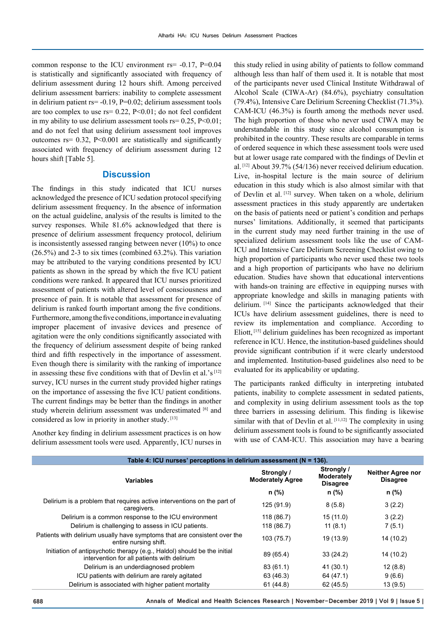common response to the ICU environment  $rs = -0.17$ ,  $P=0.04$ is statistically and significantly associated with frequency of delirium assessment during 12 hours shift. Among perceived delirium assessment barriers: inability to complete assessment in delirium patient rs= -0.19, P=0.02; delirium assessment tools are too complex to use  $rs = 0.22$ ,  $P < 0.01$ ; do not feel confident in my ability to use delirium assessment tools  $rs = 0.25$ ,  $P < 0.01$ ; and do not feel that using delirium assessment tool improves outcomes rs= 0.32, P<0.001 are statistically and significantly associated with frequency of delirium assessment during 12 hours shift [Table 5].

## **Discussion**

The findings in this study indicated that ICU nurses acknowledged the presence of ICU sedation protocol specifying delirium assessment frequency. In the absence of information on the actual guideline, analysis of the results is limited to the survey responses. While 81.6% acknowledged that there is presence of delirium assessment frequency protocol, delirium is inconsistently assessed ranging between never (10%) to once  $(26.5\%)$  and 2-3 to six times (combined 63.2%). This variation may be attributed to the varying conditions presented by ICU patients as shown in the spread by which the five ICU patient conditions were ranked. It appeared that ICU nurses prioritized assessment of patients with altered level of consciousness and presence of pain. It is notable that assessment for presence of delirium is ranked fourth important among the five conditions. Furthermore, among the five conditions, importance in evaluating improper placement of invasive devices and presence of agitation were the only conditions significantly associated with the frequency of delirium assessment despite of being ranked third and fifth respectively in the importance of assessment. Even though there is similarity with the ranking of importance in assessing these five conditions with that of Devlin et al.'s [12] survey, ICU nurses in the current study provided higher ratings on the importance of assessing the five ICU patient conditions. The current findings may be better than the findings in another study wherein delirium assessment was underestimated [6] and considered as low in priority in another study. [13]

Another key finding in delirium assessment practices is on how delirium assessment tools were used. Apparently, ICU nurses in

this study relied in using ability of patients to follow command although less than half of them used it. It is notable that most of the participants never used Clinical Institute Withdrawal of Alcohol Scale (CIWA-Ar) (84.6%), psychiatry consultation (79.4%), Intensive Care Delirium Screening Checklist (71.3%). CAM-ICU (46.3%) is fourth among the methods never used. The high proportion of those who never used CIWA may be understandable in this study since alcohol consumption is prohibited in the country. These results are comparable in terms of ordered sequence in which these assessment tools were used but at lower usage rate compared with the findings of Devlin et al. [12] About 39.7% (54/136) never received delirium education. Live, in-hospital lecture is the main source of delirium education in this study which is also almost similar with that of Devlin et al. [12] survey. When taken on a whole, delirium assessment practices in this study apparently are undertaken on the basis of patients need or patient's condition and perhaps nurses' limitations. Additionally, it seemed that participants in the current study may need further training in the use of specialized delirium assessment tools like the use of CAM-ICU and Intensive Care Delirium Screening Checklist owing to high proportion of participants who never used these two tools and a high proportion of participants who have no delirium education. Studies have shown that educational interventions with hands-on training are effective in equipping nurses with appropriate knowledge and skills in managing patients with delirium. [14] Since the participants acknowledged that their ICUs have delirium assessment guidelines, there is need to review its implementation and compliance. According to Eliott, [15] delirium guidelines has been recognized as important reference in ICU. Hence, the institution-based guidelines should provide significant contribution if it were clearly understood and implemented. Institution-based guidelines also need to be evaluated for its applicability or updating.

The participants ranked difficulty in interpreting intubated patients, inability to complete assessment in sedated patients, and complexity in using delirium assessment tools as the top three barriers in assessing delirium. This finding is likewise similar with that of Devlin et al.  $[11,12]$  The complexity in using delirium assessment tools is found to be significantly associated with use of CAM-ICU. This association may have a bearing

| Table 4: ICU nurses' perceptions in delirium assessment (N = 136).                                                      |                                       |                                                    |                                             |  |
|-------------------------------------------------------------------------------------------------------------------------|---------------------------------------|----------------------------------------------------|---------------------------------------------|--|
| <b>Variables</b>                                                                                                        | Strongly /<br><b>Moderately Agree</b> | Strongly /<br><b>Moderately</b><br><b>Disagree</b> | <b>Neither Agree nor</b><br><b>Disagree</b> |  |
|                                                                                                                         | n (%)                                 | n (%)                                              | n (%)                                       |  |
| Delirium is a problem that requires active interventions on the part of<br>caregivers.                                  | 125 (91.9)                            | 8(5.8)                                             | 3(2.2)                                      |  |
| Delirium is a common response to the ICU environment                                                                    | 118 (86.7)                            | 15(11.0)                                           | 3(2.2)                                      |  |
| Delirium is challenging to assess in ICU patients.                                                                      | 118 (86.7)                            | 11(8.1)                                            | 7(5.1)                                      |  |
| Patients with delirium usually have symptoms that are consistent over the<br>entire nursing shift.                      | 103 (75.7)                            | 19 (13.9)                                          | 14 (10.2)                                   |  |
| Initiation of antipsychotic therapy (e.g., Haldol) should be the initial<br>intervention for all patients with delirium | 89 (65.4)                             | 33(24.2)                                           | 14 (10.2)                                   |  |
| Delirium is an underdiagnosed problem                                                                                   | 83(61.1)                              | 41(30.1)                                           | 12(8.8)                                     |  |
| ICU patients with delirium are rarely agitated                                                                          | 63 (46.3)                             | 64 (47.1)                                          | 9(6.6)                                      |  |
| Delirium is associated with higher patient mortality                                                                    | 61(44.8)                              | 62 (45.5)                                          | 13(9.5)                                     |  |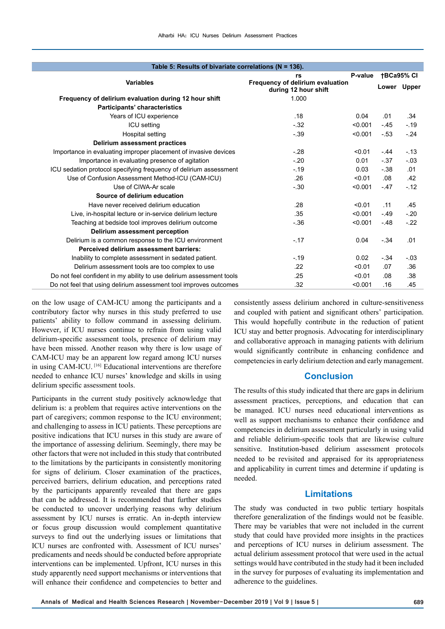| Table 5: Results of bivariate correlations ( $N = 136$ ). |                                                                      |                                                          |         |             |                   |  |
|-----------------------------------------------------------|----------------------------------------------------------------------|----------------------------------------------------------|---------|-------------|-------------------|--|
| <b>Variables</b>                                          |                                                                      | rs                                                       | P-value |             | <b>†BCa95% CI</b> |  |
|                                                           |                                                                      | Frequency of delirium evaluation<br>during 12 hour shift |         | Lower Upper |                   |  |
|                                                           | Frequency of delirium evaluation during 12 hour shift                | 1.000                                                    |         |             |                   |  |
|                                                           | Participants' characteristics                                        |                                                          |         |             |                   |  |
|                                                           | Years of ICU experience                                              | .18                                                      | 0.04    | .01         | .34               |  |
|                                                           | <b>ICU</b> setting                                                   | $-.32$                                                   | < 0.001 | $-45$       | $-19$             |  |
|                                                           | Hospital setting                                                     | $-39$                                                    | < 0.001 | $-53$       | $-24$             |  |
|                                                           | <b>Delirium assessment practices</b>                                 |                                                          |         |             |                   |  |
|                                                           | Importance in evaluating improper placement of invasive devices      | $-.28$                                                   | < 0.01  | - 44        | $-13$             |  |
|                                                           | Importance in evaluating presence of agitation                       | $-.20$                                                   | 0.01    | $-37$       | $-03$             |  |
|                                                           | ICU sedation protocol specifying frequency of delirium assessment    | $-.19$                                                   | 0.03    | $-38$       | .01               |  |
|                                                           | Use of Confusion Assessment Method-ICU (CAM-ICU)                     | .26                                                      | < 0.01  | .08         | .42               |  |
|                                                           | Use of CIWA-Ar scale                                                 | $-.30$                                                   | < 0.001 | $-47$       | $-12$             |  |
|                                                           | Source of delirium education                                         |                                                          |         |             |                   |  |
|                                                           | Have never received delirium education                               | .28                                                      | < 0.01  | .11         | .45               |  |
|                                                           | Live, in-hospital lecture or in-service delirium lecture             | .35                                                      | < 0.001 | $-49$       | $-.20$            |  |
|                                                           | Teaching at bedside tool improves delirium outcome                   | $-.36$                                                   | < 0.001 | $-48$       | $-22$             |  |
|                                                           | Delirium assessment perception                                       |                                                          |         |             |                   |  |
|                                                           | Delirium is a common response to the ICU environment                 | $-.17$                                                   | 0.04    | $-34$       | .01               |  |
|                                                           | Perceived delirium assessment barriers:                              |                                                          |         |             |                   |  |
|                                                           | Inability to complete assessment in sedated patient.                 | $-.19$                                                   | 0.02    | $-.34$      | $-03$             |  |
|                                                           | Delirium assessment tools are too complex to use                     | .22                                                      | < 0.01  | .07         | .36               |  |
|                                                           | Do not feel confident in my ability to use delirium assessment tools | .25                                                      | < 0.01  | .08         | .38               |  |
|                                                           | Do not feel that using delirium assessment tool improves outcomes    | .32                                                      | < 0.001 | .16         | .45               |  |
|                                                           |                                                                      |                                                          |         |             |                   |  |

on the low usage of CAM-ICU among the participants and a contributory factor why nurses in this study preferred to use patients' ability to follow command in assessing delirium. However, if ICU nurses continue to refrain from using valid delirium-specific assessment tools, presence of delirium may have been missed. Another reason why there is low usage of CAM-ICU may be an apparent low regard among ICU nurses in using CAM-ICU. [16] Educational interventions are therefore needed to enhance ICU nurses' knowledge and skills in using delirium specific assessment tools.

Participants in the current study positively acknowledge that delirium is: a problem that requires active interventions on the part of caregivers; common response to the ICU environment; and challenging to assess in ICU patients. These perceptions are positive indications that ICU nurses in this study are aware of the importance of assessing delirium. Seemingly, there may be other factors that were not included in this study that contributed to the limitations by the participants in consistently monitoring for signs of delirium. Closer examination of the practices, perceived barriers, delirium education, and perceptions rated by the participants apparently revealed that there are gaps that can be addressed. It is recommended that further studies be conducted to uncover underlying reasons why delirium assessment by ICU nurses is erratic. An in-depth interview or focus group discussion would complement quantitative surveys to find out the underlying issues or limitations that ICU nurses are confronted with. Assessment of ICU nurses' predicaments and needs should be conducted before appropriate interventions can be implemented. Upfront, ICU nurses in this study apparently need support mechanisms or interventions that will enhance their confidence and competencies to better and

consistently assess delirium anchored in culture-sensitiveness and coupled with patient and significant others' participation. This would hopefully contribute in the reduction of patient ICU stay and better prognosis. Advocating for interdisciplinary and collaborative approach in managing patients with delirium would significantly contribute in enhancing confidence and competencies in early delirium detection and early management.

# **Conclusion**

The results of this study indicated that there are gaps in delirium assessment practices, perceptions, and education that can be managed. ICU nurses need educational interventions as well as support mechanisms to enhance their confidence and competencies in delirium assessment particularly in using valid and reliable delirium-specific tools that are likewise culture sensitive. Institution-based delirium assessment protocols needed to be revisited and appraised for its appropriateness and applicability in current times and determine if updating is needed.

## **Limitations**

The study was conducted in two public tertiary hospitals therefore generalization of the findings would not be feasible. There may be variables that were not included in the current study that could have provided more insights in the practices and perceptions of ICU nurses in delirium assessment. The actual delirium assessment protocol that were used in the actual settings would have contributed in the study had it been included in the survey for purposes of evaluating its implementation and adherence to the guidelines.